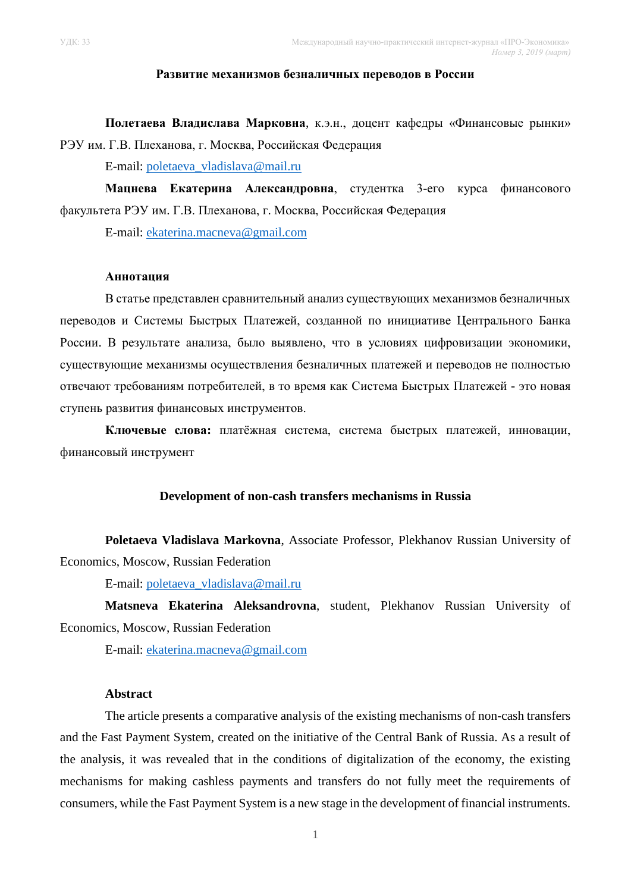### **Развитие механизмов безналичных переводов в России**

**Полетаева Владислава Марковна**, к.э.н., доцент кафедры «Финансовые рынки» РЭУ им. Г.В. Плеханова, г. Москва, Российская Федерация

E-mail: [poletaeva\\_vladislava@mail.ru](mailto:poletaeva_vladislava@mail.ru)

**Мацнева Екатерина Александровна**, студентка 3-его курса финансового факультета РЭУ им. Г.В. Плеханова, г. Москва, Российская Федерация

E-mail: [ekaterina.macneva@gmail.com](mailto:ekaterina.macneva@gmail.com)

### **Аннотация**

В статье представлен сравнительный анализ существующих механизмов безналичных переводов и Системы Быстрых Платежей, созданной по инициативе Центрального Банка России. В результате анализа, было выявлено, что в условиях цифровизации экономики, существующие механизмы осуществления безналичных платежей и переводов не полностью отвечают требованиям потребителей, в то время как Система Быстрых Платежей - это новая ступень развития финансовых инструментов.

**Ключевые слова:** платёжная система, система быстрых платежей, инновации, финансовый инструмент

### **Development of non-cash transfers mechanisms in Russia**

**Poletaeva Vladislava Markovna**, Associate Professor, Plekhanov Russian University of Economics, Moscow, Russian Federation

E-mail: [poletaeva\\_vladislava@mail.ru](mailto:poletaeva_vladislava@mail.ru)

**Matsneva Ekaterina Aleksandrovna**, student, Plekhanov Russian University of Economics, Moscow, Russian Federation

E-mail: [ekaterina.macneva@gmail.com](mailto:ekaterina.macneva@gmail.com)

## **Abstract**

The article presents a comparative analysis of the existing mechanisms of non-cash transfers and the Fast Payment System, created on the initiative of the Central Bank of Russia. As a result of the analysis, it was revealed that in the conditions of digitalization of the economy, the existing mechanisms for making cashless payments and transfers do not fully meet the requirements of consumers, while the Fast Payment System is a new stage in the development of financial instruments.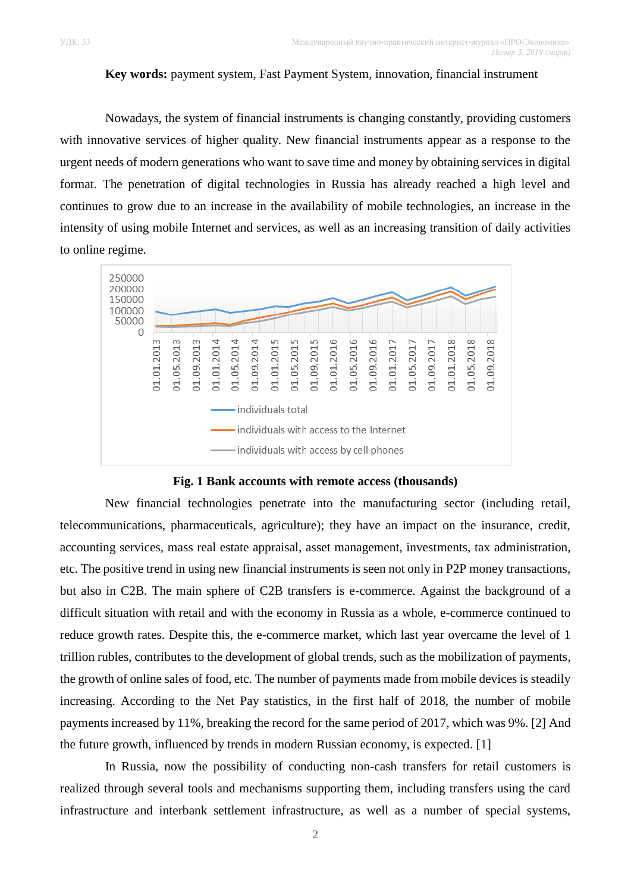# **Key words:** payment system, Fast Payment System, innovation, financial instrument

Nowadays, the system of financial instruments is changing constantly, providing customers with innovative services of higher quality. New financial instruments appear as a response to the urgent needs of modern generations who want to save time and money by obtaining services in digital format. The penetration of digital technologies in Russia has already reached a high level and continues to grow due to an increase in the availability of mobile technologies, an increase in the intensity of using mobile Internet and services, as well as an increasing transition of daily activities to online regime.



### **Fig. 1 Bank accounts with remote access (thousands)**

New financial technologies penetrate into the manufacturing sector (including retail, telecommunications, pharmaceuticals, agriculture); they have an impact on the insurance, credit, accounting services, mass real estate appraisal, asset management, investments, tax administration, etc. The positive trend in using new financial instruments is seen not only in P2P money transactions, but also in C2B. The main sphere of C2B transfers is e-commerce. Against the background of a difficult situation with retail and with the economy in Russia as a whole, e-commerce continued to reduce growth rates. Despite this, the e-commerce market, which last year overcame the level of 1 trillion rubles, contributes to the development of global trends, such as the mobilization of payments, the growth of online sales of food, etc. The number of payments made from mobile devices is steadily increasing. According to the Net Pay statistics, in the first half of 2018, the number of mobile payments increased by 11%, breaking the record for the same period of 2017, which was 9%. [2] And the future growth, influenced by trends in modern Russian economy, is expected. [1]

In Russia, now the possibility of conducting non-cash transfers for retail customers is realized through several tools and mechanisms supporting them, including transfers using the card infrastructure and interbank settlement infrastructure, as well as a number of special systems,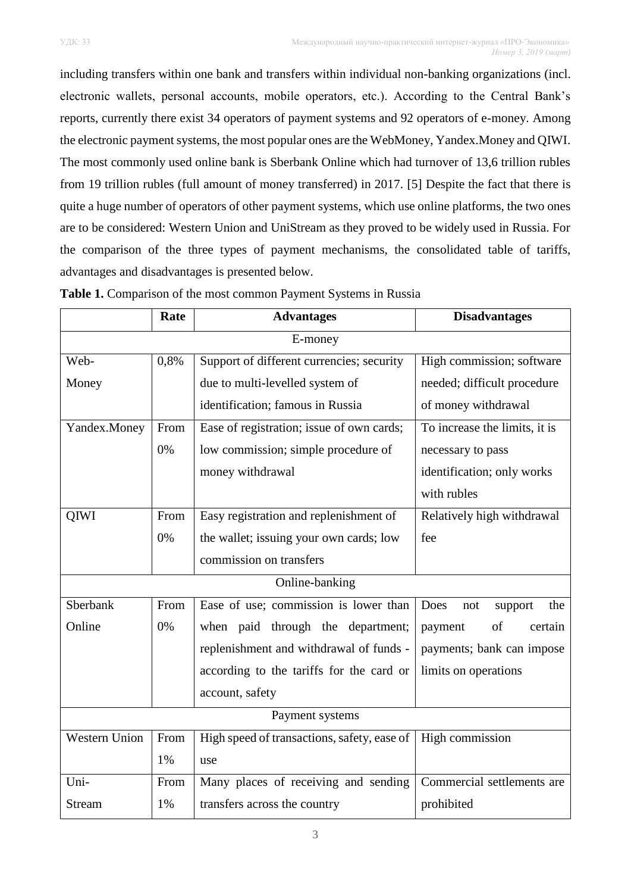including transfers within one bank and transfers within individual non-banking organizations (incl. electronic wallets, personal accounts, mobile operators, etc.). According to the Central Bank's reports, currently there exist 34 operators of payment systems and 92 operators of e-money. Among the electronic payment systems, the most popular ones are the WebMoney, Yandex.Money and QIWI. The most commonly used online bank is Sberbank Online which had turnover of 13,6 trillion rubles from 19 trillion rubles (full amount of money transferred) in 2017. [5] Despite the fact that there is quite a huge number of operators of other payment systems, which use online platforms, the two ones are to be considered: Western Union and UniStream as they proved to be widely used in Russia. For the comparison of the three types of payment mechanisms, the consolidated table of tariffs, advantages and disadvantages is presented below.

|                      | Rate | <b>Advantages</b>                           | <b>Disadvantages</b>          |
|----------------------|------|---------------------------------------------|-------------------------------|
| E-money              |      |                                             |                               |
| Web-                 | 0,8% | Support of different currencies; security   | High commission; software     |
| Money                |      | due to multi-levelled system of             | needed; difficult procedure   |
|                      |      | identification; famous in Russia            | of money withdrawal           |
| Yandex.Money         | From | Ease of registration; issue of own cards;   | To increase the limits, it is |
|                      | 0%   | low commission; simple procedure of         | necessary to pass             |
|                      |      | money withdrawal                            | identification; only works    |
|                      |      |                                             | with rubles                   |
| QIWI                 | From | Easy registration and replenishment of      | Relatively high withdrawal    |
|                      | 0%   | the wallet; issuing your own cards; low     | fee                           |
|                      |      | commission on transfers                     |                               |
| Online-banking       |      |                                             |                               |
| Sberbank             | From | Ease of use; commission is lower than       | Does<br>the<br>support<br>not |
| Online               | 0%   | when paid through the department;           | of<br>payment<br>certain      |
|                      |      | replenishment and withdrawal of funds -     | payments; bank can impose     |
|                      |      | according to the tariffs for the card or    | limits on operations          |
|                      |      | account, safety                             |                               |
| Payment systems      |      |                                             |                               |
| <b>Western Union</b> | From | High speed of transactions, safety, ease of | High commission               |
|                      | 1%   | use                                         |                               |
| Uni-                 | From | Many places of receiving and sending        | Commercial settlements are    |
| Stream               | 1%   | transfers across the country                | prohibited                    |

**Table 1.** Comparison of the most common Payment Systems in Russia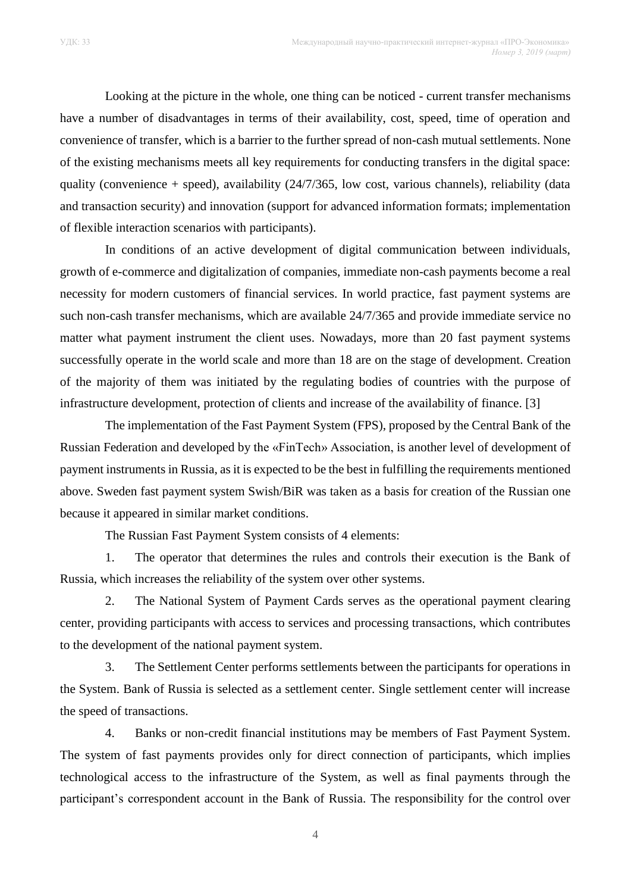Looking at the picture in the whole, one thing can be noticed - current transfer mechanisms have a number of disadvantages in terms of their availability, cost, speed, time of operation and convenience of transfer, which is a barrier to the further spread of non-cash mutual settlements. None of the existing mechanisms meets all key requirements for conducting transfers in the digital space: quality (convenience  $+$  speed), availability (24/7/365, low cost, various channels), reliability (data and transaction security) and innovation (support for advanced information formats; implementation of flexible interaction scenarios with participants).

In conditions of an active development of digital communication between individuals, growth of e-commerce and digitalization of companies, immediate non-cash payments become a real necessity for modern customers of financial services. In world practice, fast payment systems are such non-cash transfer mechanisms, which are available 24/7/365 and provide immediate service no matter what payment instrument the client uses. Nowadays, more than 20 fast payment systems successfully operate in the world scale and more than 18 are on the stage of development. Creation of the majority of them was initiated by the regulating bodies of countries with the purpose of infrastructure development, protection of clients and increase of the availability of finance. [3]

The implementation of the Fast Payment System (FPS), proposed by the Central Bank of the Russian Federation and developed by the «FinTech» Association, is another level of development of payment instruments in Russia, as it is expected to be the best in fulfilling the requirements mentioned above. Sweden fast payment system Swish/BiR was taken as a basis for creation of the Russian one because it appeared in similar market conditions.

The Russian Fast Payment System consists of 4 elements:

1. The operator that determines the rules and controls their execution is the Bank of Russia, which increases the reliability of the system over other systems.

2. The National System of Payment Cards serves as the operational payment clearing center, providing participants with access to services and processing transactions, which contributes to the development of the national payment system.

3. The Settlement Center performs settlements between the participants for operations in the System. Bank of Russia is selected as a settlement center. Single settlement center will increase the speed of transactions.

4. Banks or non-credit financial institutions may be members of Fast Payment System. The system of fast payments provides only for direct connection of participants, which implies technological access to the infrastructure of the System, as well as final payments through the participant's correspondent account in the Bank of Russia. The responsibility for the control over

4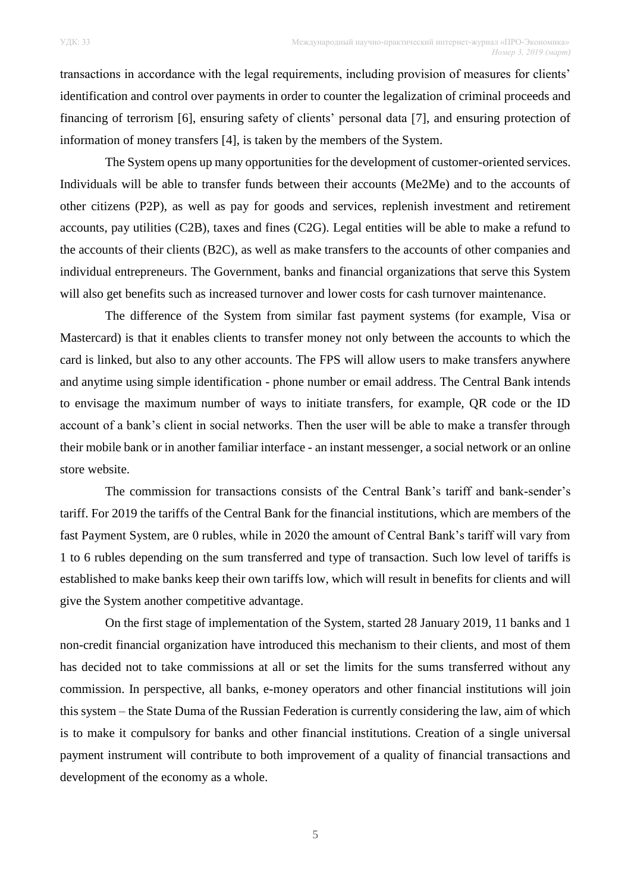transactions in accordance with the legal requirements, including provision of measures for clients' identification and control over payments in order to counter the legalization of criminal proceeds and financing of terrorism [6], ensuring safety of clients' personal data [7], and ensuring protection of information of money transfers [4], is taken by the members of the System.

The System opens up many opportunities for the development of customer-oriented services. Individuals will be able to transfer funds between their accounts (Me2Me) and to the accounts of other citizens (P2P), as well as pay for goods and services, replenish investment and retirement accounts, pay utilities (C2B), taxes and fines (C2G). Legal entities will be able to make a refund to the accounts of their clients (B2C), as well as make transfers to the accounts of other companies and individual entrepreneurs. The Government, banks and financial organizations that serve this System will also get benefits such as increased turnover and lower costs for cash turnover maintenance.

The difference of thе System from similar fast payment systems (for example, Visa or Mastercard) is that it enables clients to transfer money not only between the accounts to which the card is linked, but also to any other accounts. The FPS will allow users to make transfers anywhere and anytime using simple identification - phone number or email address. The Central Bank intends to envisage the maximum number of ways to initiate transfers, for example, QR code or the ID account of a bank's client in social networks. Then the user will be able to make a transfer through their mobile bank or in another familiar interface - an instant messenger, a social network or an online store website.

The commission for transactions consists of the Central Bank's tariff and bank-sender's tariff. For 2019 the tariffs of the Central Bank for the financial institutions, which are members of the fast Payment System, are 0 rubles, while in 2020 the amount of Central Bank's tariff will vary from 1 to 6 rubles depending on the sum transferred and type of transaction. Such low level of tariffs is established to make banks keep their own tariffs low, which will result in benefits for clients and will give the System another competitive advantage.

On the first stage of implementation of the System, started 28 January 2019, 11 banks and 1 non-credit financial organization have introduced this mechanism to their clients, and most of them has decided not to take commissions at all or set the limits for the sums transferred without any commission. In perspective, all banks, e-money operators and other financial institutions will join this system – the State Duma of the Russian Federation is currently considering the law, aim of which is to make it compulsory for banks and other financial institutions. Creation of a single universal payment instrument will contribute to both improvement of a quality of financial transactions and development of the economy as a whole.

5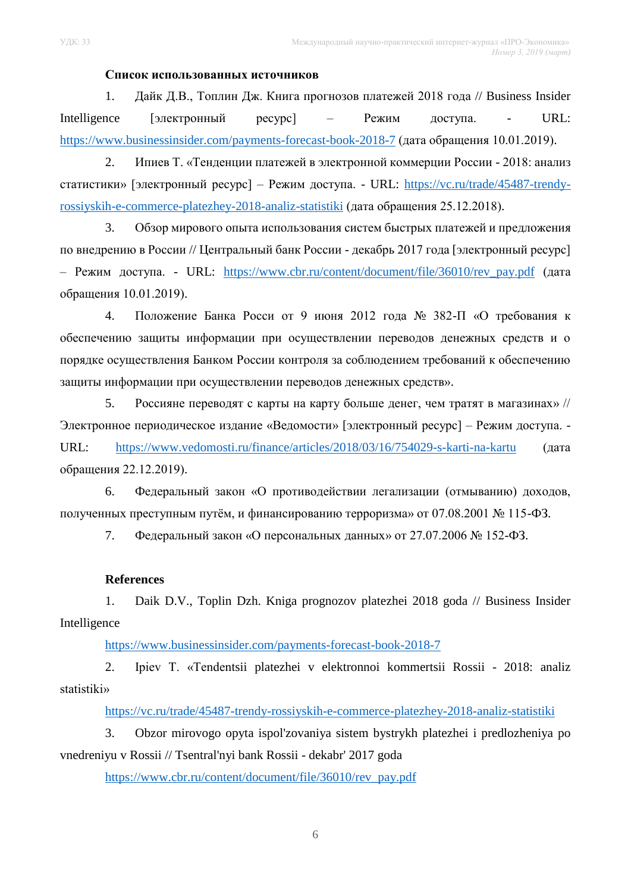# **Список использованных источников**

1. Дайк Д.В., Топлин Дж. Книга прогнозов платежей 2018 года // Business Insider Intelligence [электронный ресурс] – Режим доступа. - URL: <https://www.businessinsider.com/payments-forecast-book-2018-7> (дата обращения 10.01.2019).

2. Ипиев Т. «Тенденции платежей в электронной коммерции России - 2018: анализ статистики» [электронный ресурс] – Режим доступа. - URL: [https://vc.ru/trade/45487-trendy](https://vc.ru/trade/45487-trendy-rossiyskih-e-commerce-platezhey-2018-analiz-statistiki)[rossiyskih-e-commerce-platezhey-2018-analiz-statistiki](https://vc.ru/trade/45487-trendy-rossiyskih-e-commerce-platezhey-2018-analiz-statistiki) (дата обращения 25.12.2018).

3. Обзор мирового опыта использования систем быстрых платежей и предложения по внедрению в России // Центральный банк России - декабрь 2017 года [электронный ресурс] – Режим доступа. - URL: [https://www.cbr.ru/content/document/file/36010/rev\\_pay.pdf](https://www.cbr.ru/content/document/file/36010/rev_pay.pdf) (дата обращения 10.01.2019).

4. Положение Банка Росси от 9 июня 2012 года № 382-П «О требования к обеспечению защиты информации при осуществлении переводов денежных средств и о порядке осуществления Банком России контроля за соблюдением требований к обеспечению защиты информации при осуществлении переводов денежных средств».

5. Россияне переводят с карты на карту больше денег, чем тратят в магазинах» // Электронное периодическое издание «Ведомости» [электронный ресурс] – Режим доступа. - URL: <https://www.vedomosti.ru/finance/articles/2018/03/16/754029-s-karti-na-kartu> (дата обращения 22.12.2019).

6. Федеральный закон «О противодействии легализации (отмыванию) доходов, полученных преступным путём, и финансированию терроризма» от 07.08.2001 № 115-ФЗ.

7. Федеральный закон «О персональных данных» от 27.07.2006 № 152-ФЗ.

# **References**

1. Daik D.V., Toplin Dzh. Kniga prognozov platezhei 2018 goda // Business Insider Intelligence

<https://www.businessinsider.com/payments-forecast-book-2018-7>

2. Ipiev T. «Tendentsii platezhei v elektronnoi kommertsii Rossii - 2018: analiz statistiki»

<https://vc.ru/trade/45487-trendy-rossiyskih-e-commerce-platezhey-2018-analiz-statistiki>

3. Obzor mirovogo opyta ispol'zovaniya sistem bystrykh platezhei i predlozheniya po vnedreniyu v Rossii // Tsentral'nyi bank Rossii - dekabr' 2017 goda

[https://www.cbr.ru/content/document/file/36010/rev\\_pay.pdf](https://www.cbr.ru/content/document/file/36010/rev_pay.pdf)